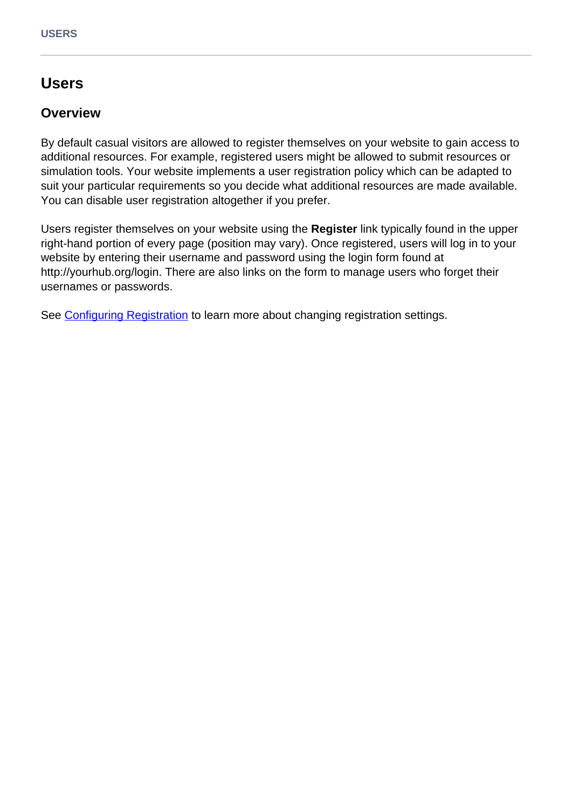# **Users**

### **Overview**

By default casual visitors are allowed to register themselves on your website to gain access to additional resources. For example, registered users might be allowed to submit resources or simulation tools. Your website implements a user registration policy which can be adapted to suit your particular requirements so you decide what additional resources are made available. You can disable user registration altogether if you prefer.

Users register themselves on your website using the **Register** link typically found in the upper right-hand portion of every page (position may vary). Once registered, users will log in to your website by entering their username and password using the login form found at http://yourhub.org/login. There are also links on the form to manage users who forget their usernames or passwords.

See [Configuring Registration](/documentation/22/managers/configuring.registration) to learn more about changing registration settings.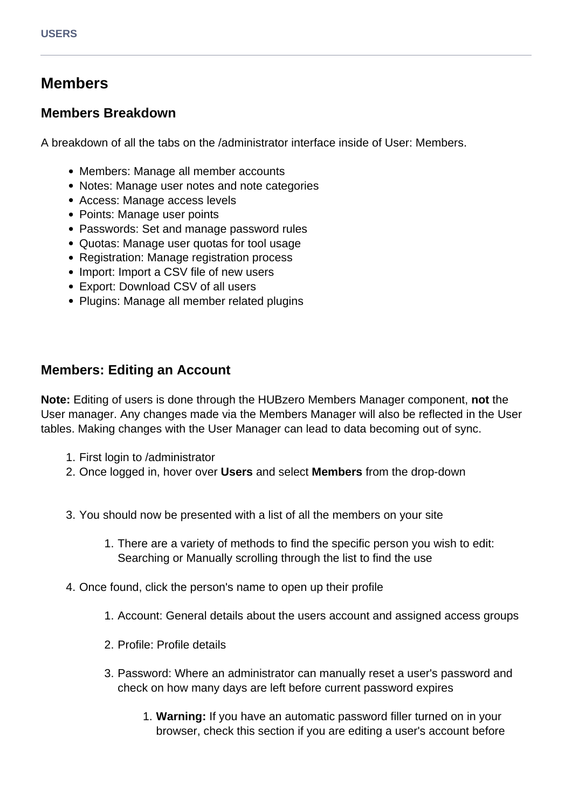# **Members**

#### **Members Breakdown**

A breakdown of all the tabs on the /administrator interface inside of User: Members.

- Members: Manage all member accounts
- Notes: Manage user notes and note categories
- Access: Manage access levels
- Points: Manage user points
- Passwords: Set and manage password rules
- Quotas: Manage user quotas for tool usage
- Registration: Manage registration process
- Import: Import a CSV file of new users
- Export: Download CSV of all users
- Plugins: Manage all member related plugins

### **Members: Editing an Account**

**Note:** Editing of users is done through the HUBzero Members Manager component, **not** the User manager. Any changes made via the Members Manager will also be reflected in the User tables. Making changes with the User Manager can lead to data becoming out of sync.

- 1. First login to /administrator
- 2. Once logged in, hover over **Users** and select **Members** from the drop-down
- 3. You should now be presented with a list of all the members on your site
	- 1. There are a variety of methods to find the specific person you wish to edit: Searching or Manually scrolling through the list to find the use
- 4. Once found, click the person's name to open up their profile
	- 1. Account: General details about the users account and assigned access groups
	- 2. Profile: Profile details
	- 3. Password: Where an administrator can manually reset a user's password and check on how many days are left before current password expires
		- 1. **Warning:** If you have an automatic password filler turned on in your browser, check this section if you are editing a user's account before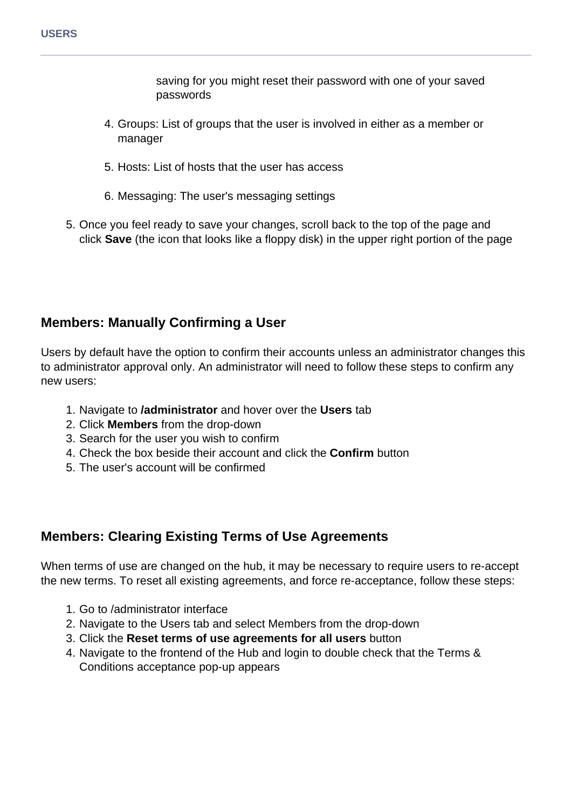saving for you might reset their password with one of your saved passwords

- 4. Groups: List of groups that the user is involved in either as a member or manager
- 5. Hosts: List of hosts that the user has access
- 6. Messaging: The user's messaging settings
- 5. Once you feel ready to save your changes, scroll back to the top of the page and click **Save** (the icon that looks like a floppy disk) in the upper right portion of the page

# **Members: Manually Confirming a User**

Users by default have the option to confirm their accounts unless an administrator changes this to administrator approval only. An administrator will need to follow these steps to confirm any new users:

- 1. Navigate to **/administrator** and hover over the **Users** tab
- 2. Click **Members** from the drop-down
- 3. Search for the user you wish to confirm
- 4. Check the box beside their account and click the **Confirm** button
- 5. The user's account will be confirmed

# **Members: Clearing Existing Terms of Use Agreements**

When terms of use are changed on the hub, it may be necessary to require users to re-accept the new terms. To reset all existing agreements, and force re-acceptance, follow these steps:

- 1. Go to /administrator interface
- 2. Navigate to the Users tab and select Members from the drop-down
- 3. Click the **Reset terms of use agreements for all users** button
- 4. Navigate to the frontend of the Hub and login to double check that the Terms & Conditions acceptance pop-up appears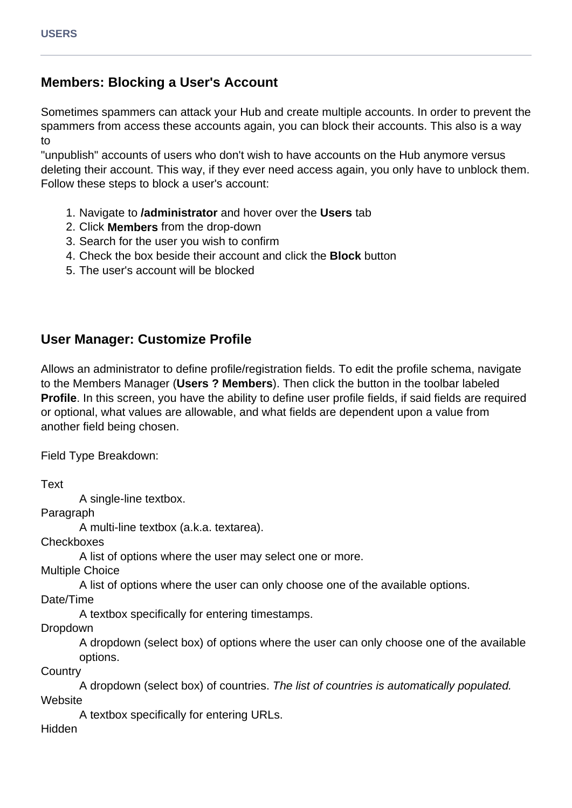# **Members: Blocking a User's Account**

Sometimes spammers can attack your Hub and create multiple accounts. In order to prevent the spammers from access these accounts again, you can block their accounts. This also is a way to

"unpublish" accounts of users who don't wish to have accounts on the Hub anymore versus deleting their account. This way, if they ever need access again, you only have to unblock them. Follow these steps to block a user's account:

- 1. Navigate to **/administrator** and hover over the **Users** tab
- 2. Click **Members** from the drop-down
- 3. Search for the user you wish to confirm
- 4. Check the box beside their account and click the **Block** button
- 5. The user's account will be blocked

# **User Manager: Customize Profile**

Allows an administrator to define profile/registration fields. To edit the profile schema, navigate to the Members Manager (**Users ? Members**). Then click the button in the toolbar labeled **Profile**. In this screen, you have the ability to define user profile fields, if said fields are required or optional, what values are allowable, and what fields are dependent upon a value from another field being chosen.

Field Type Breakdown:

Text A single-line textbox. Paragraph A multi-line textbox (a.k.a. textarea). **Checkboxes** A list of options where the user may select one or more. Multiple Choice A list of options where the user can only choose one of the available options. Date/Time A textbox specifically for entering timestamps. Dropdown A dropdown (select box) of options where the user can only choose one of the available options. **Country** A dropdown (select box) of countries. The list of countries is automatically populated. **Website** A textbox specifically for entering URLs. Hidden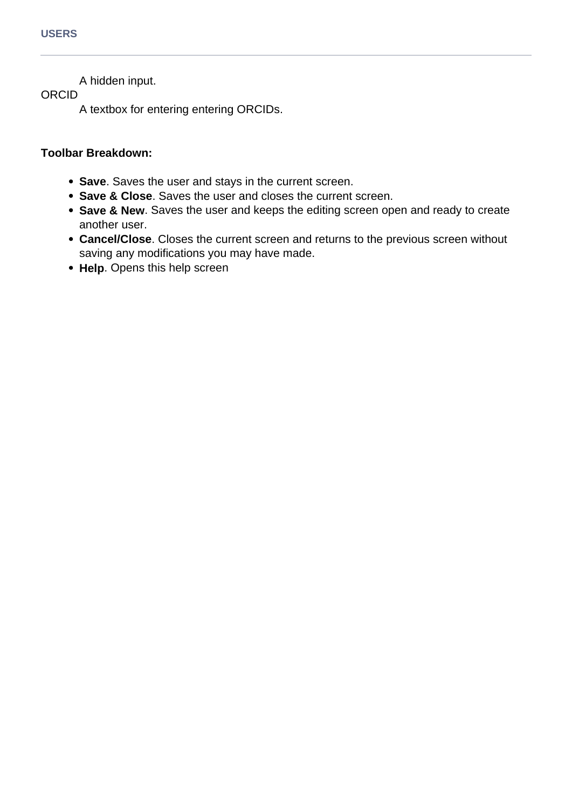A hidden input.

ORCID

A textbox for entering entering ORCIDs.

#### **Toolbar Breakdown:**

- **Save**. Saves the user and stays in the current screen.
- **Save & Close**. Saves the user and closes the current screen.
- **Save & New**. Saves the user and keeps the editing screen open and ready to create another user.
- **Cancel/Close**. Closes the current screen and returns to the previous screen without saving any modifications you may have made.
- **Help**. Opens this help screen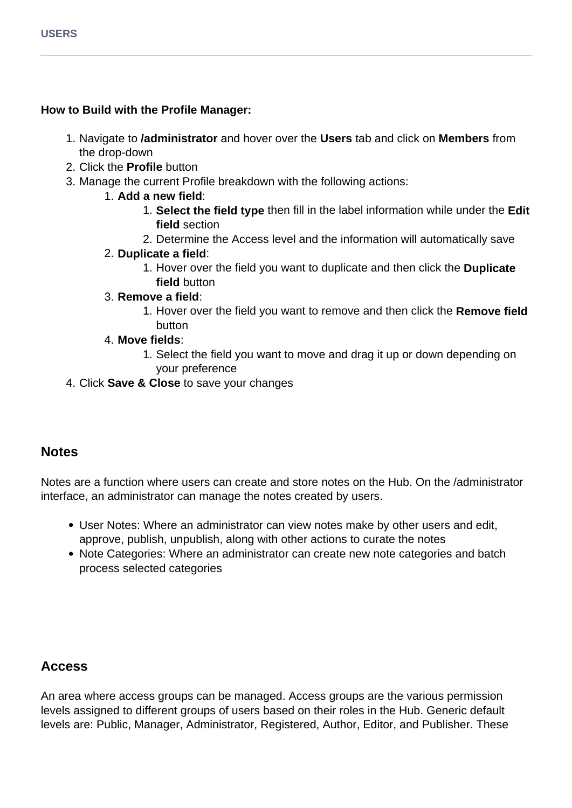#### **How to Build with the Profile Manager:**

- 1. Navigate to **/administrator** and hover over the **Users** tab and click on **Members** from the drop-down
- 2. Click the **Profile** button
- 3. Manage the current Profile breakdown with the following actions:
	- 1. **Add a new field**:
		- 1. **Select the field type** then fill in the label information while under the **Edit field** section
		- 2. Determine the Access level and the information will automatically save

#### 2. **Duplicate a field**:

1. Hover over the field you want to duplicate and then click the **Duplicate field** button

#### 3. **Remove a field**:

1. Hover over the field you want to remove and then click the **Remove field** button

#### 4. **Move fields**:

- 1. Select the field you want to move and drag it up or down depending on your preference
- 4. Click **Save & Close** to save your changes

### **Notes**

Notes are a function where users can create and store notes on the Hub. On the /administrator interface, an administrator can manage the notes created by users.

- User Notes: Where an administrator can view notes make by other users and edit, approve, publish, unpublish, along with other actions to curate the notes
- Note Categories: Where an administrator can create new note categories and batch process selected categories

### **Access**

An area where access groups can be managed. Access groups are the various permission levels assigned to different groups of users based on their roles in the Hub. Generic default levels are: Public, Manager, Administrator, Registered, Author, Editor, and Publisher. These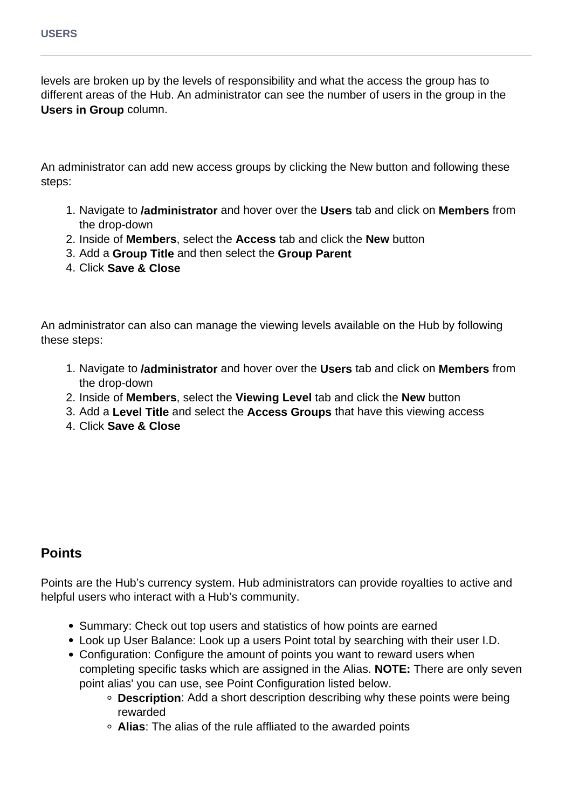levels are broken up by the levels of responsibility and what the access the group has to different areas of the Hub. An administrator can see the number of users in the group in the **Users in Group** column.

An administrator can add new access groups by clicking the New button and following these steps:

- 1. Navigate to **/administrator** and hover over the **Users** tab and click on **Members** from the drop-down
- 2. Inside of **Members**, select the **Access** tab and click the **New** button
- 3. Add a **Group Title** and then select the **Group Parent**
- 4. Click **Save & Close**

An administrator can also can manage the viewing levels available on the Hub by following these steps:

- 1. Navigate to **/administrator** and hover over the **Users** tab and click on **Members** from the drop-down
- 2. Inside of **Members**, select the **Viewing Level** tab and click the **New** button
- 3. Add a **Level Title** and select the **Access Groups** that have this viewing access
- 4. Click **Save & Close**

### **Points**

Points are the Hub's currency system. Hub administrators can provide royalties to active and helpful users who interact with a Hub's community.

- Summary: Check out top users and statistics of how points are earned
- Look up User Balance: Look up a users Point total by searching with their user I.D.
- Configuration: Configure the amount of points you want to reward users when completing specific tasks which are assigned in the Alias. **NOTE:** There are only seven point alias' you can use, see Point Configuration listed below.
	- **Description**: Add a short description describing why these points were being rewarded
	- **Alias**: The alias of the rule affliated to the awarded points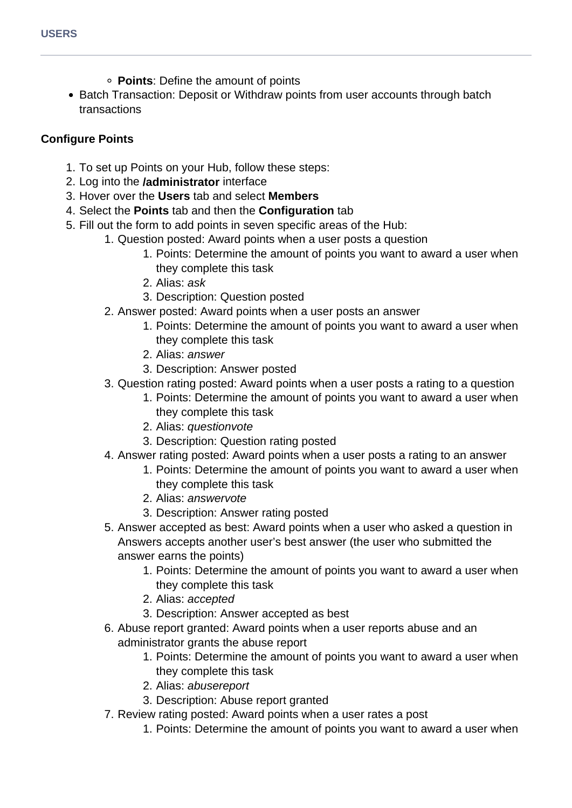- **Points**: Define the amount of points
- Batch Transaction: Deposit or Withdraw points from user accounts through batch transactions

#### **Configure Points**

- 1. To set up Points on your Hub, follow these steps:
- 2. Log into the **/administrator** interface
- 3. Hover over the **Users** tab and select **Members**
- 4. Select the **Points** tab and then the **Configuration** tab
- 5. Fill out the form to add points in seven specific areas of the Hub:
	- 1. Question posted: Award points when a user posts a question
		- 1. Points: Determine the amount of points you want to award a user when they complete this task
		- 2. Alias: ask
		- 3. Description: Question posted
	- 2. Answer posted: Award points when a user posts an answer
		- 1. Points: Determine the amount of points you want to award a user when they complete this task
		- 2. Alias: answer
		- 3. Description: Answer posted
	- 3. Question rating posted: Award points when a user posts a rating to a question
		- 1. Points: Determine the amount of points you want to award a user when they complete this task
		- 2. Alias: questionvote
		- 3. Description: Question rating posted
	- 4. Answer rating posted: Award points when a user posts a rating to an answer
		- 1. Points: Determine the amount of points you want to award a user when they complete this task
		- 2. Alias: answervote
		- 3. Description: Answer rating posted
	- 5. Answer accepted as best: Award points when a user who asked a question in Answers accepts another user's best answer (the user who submitted the answer earns the points)
		- 1. Points: Determine the amount of points you want to award a user when they complete this task
		- 2. Alias: accepted
		- 3. Description: Answer accepted as best
	- 6. Abuse report granted: Award points when a user reports abuse and an administrator grants the abuse report
		- 1. Points: Determine the amount of points you want to award a user when they complete this task
		- 2. Alias: abusereport
		- 3. Description: Abuse report granted
	- 7. Review rating posted: Award points when a user rates a post
		- 1. Points: Determine the amount of points you want to award a user when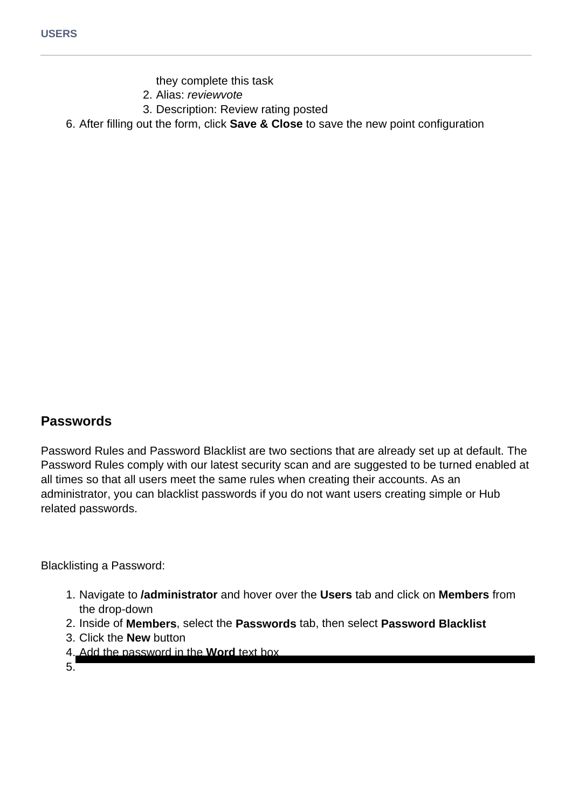- they complete this task
- 2. Alias: reviewvote
- 3. Description: Review rating posted
- 6. After filling out the form, click **Save & Close** to save the new point configuration

### **Passwords**

Password Rules and Password Blacklist are two sections that are already set up at default. The Password Rules comply with our latest security scan and are suggested to be turned enabled at all times so that all users meet the same rules when creating their accounts. As an administrator, you can blacklist passwords if you do not want users creating simple or Hub related passwords.

Blacklisting a Password:

- 1. Navigate to **/administrator** and hover over the **Users** tab and click on **Members** from the drop-down
- 2. Inside of **Members**, select the **Passwords** tab, then select **Password Blacklist**
- 3. Click the **New** button
- 4. Add the password in the **Word** text box
- 5.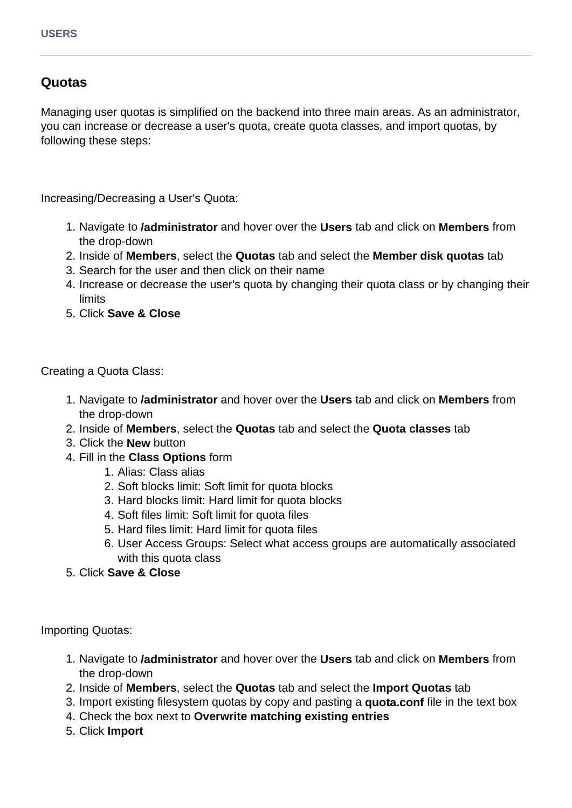### **Quotas**

Managing user quotas is simplified on the backend into three main areas. As an administrator, you can increase or decrease a user's quota, create quota classes, and import quotas, by following these steps:

Increasing/Decreasing a User's Quota:

- 1. Navigate to **/administrator** and hover over the **Users** tab and click on **Members** from the drop-down
- 2. Inside of **Members**, select the **Quotas** tab and select the **Member disk quotas** tab
- 3. Search for the user and then click on their name
- 4. Increase or decrease the user's quota by changing their quota class or by changing their limits
- 5. Click **Save & Close**

Creating a Quota Class:

- 1. Navigate to **/administrator** and hover over the **Users** tab and click on **Members** from the drop-down
- 2. Inside of **Members**, select the **Quotas** tab and select the **Quota classes** tab
- 3. Click the **New** button
- 4. Fill in the **Class Options** form
	- 1. Alias: Class alias
	- 2. Soft blocks limit: Soft limit for quota blocks
	- 3. Hard blocks limit: Hard limit for quota blocks
	- 4. Soft files limit: Soft limit for quota files
	- 5. Hard files limit: Hard limit for quota files
	- 6. User Access Groups: Select what access groups are automatically associated with this quota class
- 5. Click **Save & Close**

Importing Quotas:

- 1. Navigate to **/administrator** and hover over the **Users** tab and click on **Members** from the drop-down
- 2. Inside of **Members**, select the **Quotas** tab and select the **Import Quotas** tab
- 3. Import existing filesystem quotas by copy and pasting a **quota.conf** file in the text box
- 4. Check the box next to **Overwrite matching existing entries**
- 5. Click **Import**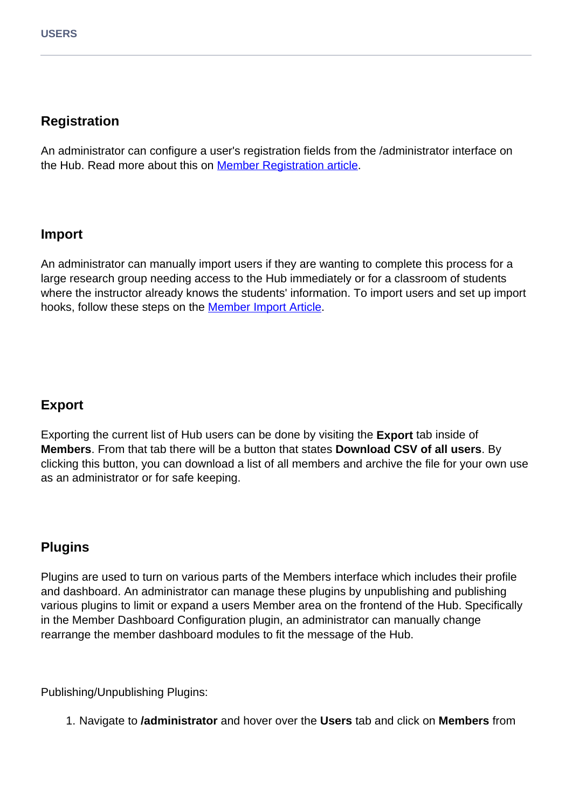# **Registration**

An administrator can configure a user's registration fields from the /administrator interface on the Hub. Read more about this on **Member Registration article**.

# **Import**

An administrator can manually import users if they are wanting to complete this process for a large research group needing access to the Hub immediately or for a classroom of students where the instructor already knows the students' information. To import users and set up import hooks, follow these steps on the **Member Import Article**.

# **Export**

Exporting the current list of Hub users can be done by visiting the **Export** tab inside of **Members**. From that tab there will be a button that states **Download CSV of all users**. By clicking this button, you can download a list of all members and archive the file for your own use as an administrator or for safe keeping.

# **Plugins**

Plugins are used to turn on various parts of the Members interface which includes their profile and dashboard. An administrator can manage these plugins by unpublishing and publishing various plugins to limit or expand a users Member area on the frontend of the Hub. Specifically in the Member Dashboard Configuration plugin, an administrator can manually change rearrange the member dashboard modules to fit the message of the Hub.

Publishing/Unpublishing Plugins:

1. Navigate to **/administrator** and hover over the **Users** tab and click on **Members** from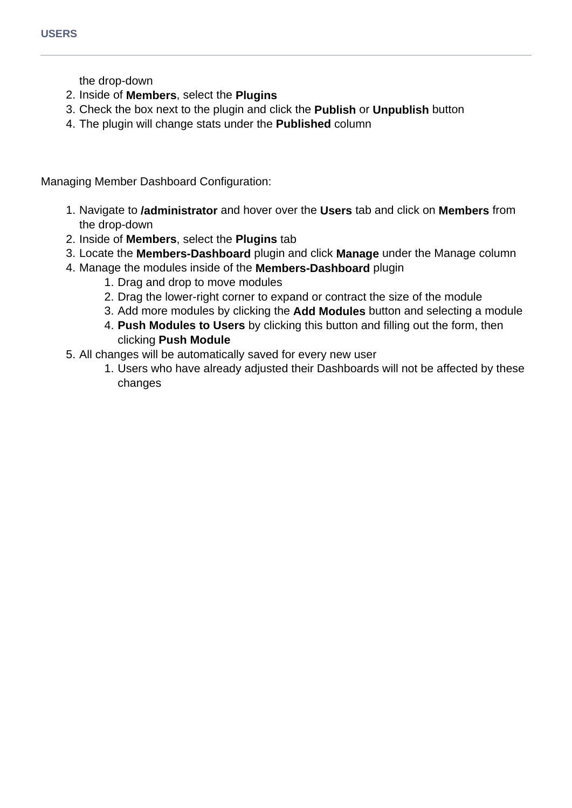the drop-down

- 2. Inside of **Members**, select the **Plugins**
- 3. Check the box next to the plugin and click the **Publish** or **Unpublish** button
- 4. The plugin will change stats under the **Published** column

Managing Member Dashboard Configuration:

- 1. Navigate to **/administrator** and hover over the **Users** tab and click on **Members** from the drop-down
- 2. Inside of **Members**, select the **Plugins** tab
- 3. Locate the **Members-Dashboard** plugin and click **Manage** under the Manage column
- 4. Manage the modules inside of the **Members-Dashboard** plugin
	- 1. Drag and drop to move modules
	- 2. Drag the lower-right corner to expand or contract the size of the module
	- 3. Add more modules by clicking the **Add Modules** button and selecting a module
	- 4. **Push Modules to Users** by clicking this button and filling out the form, then clicking **Push Module**
- 5. All changes will be automatically saved for every new user
	- 1. Users who have already adjusted their Dashboards will not be affected by these changes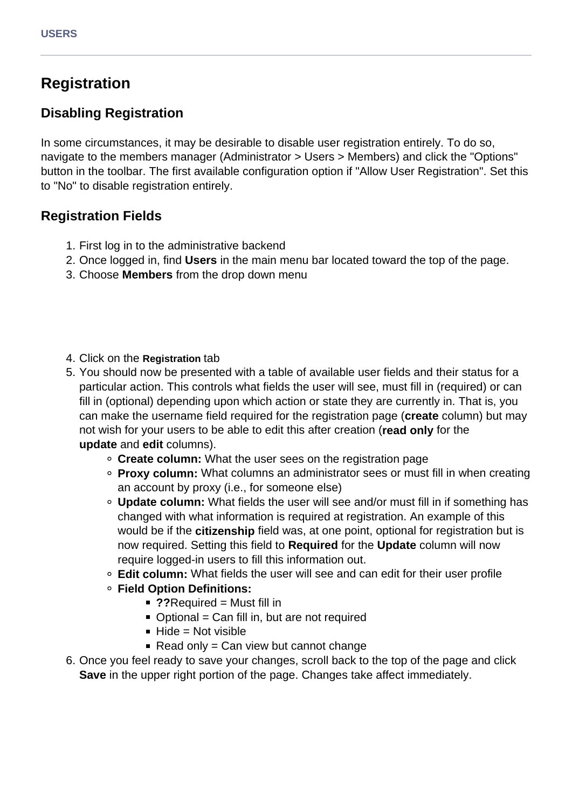# **Registration**

# **Disabling Registration**

In some circumstances, it may be desirable to disable user registration entirely. To do so, navigate to the members manager (Administrator > Users > Members) and click the "Options" button in the toolbar. The first available configuration option if "Allow User Registration". Set this to "No" to disable registration entirely.

### **Registration Fields**

- 1. First log in to the administrative backend
- 2. Once logged in, find **Users** in the main menu bar located toward the top of the page.
- 3. Choose **Members** from the drop down menu
- 4. Click on the **Registration** tab
- 5. You should now be presented with a table of available user fields and their status for a particular action. This controls what fields the user will see, must fill in (required) or can fill in (optional) depending upon which action or state they are currently in. That is, you can make the username field required for the registration page (**create** column) but may not wish for your users to be able to edit this after creation (**read only** for the **update** and **edit** columns).
	- **Create column:** What the user sees on the registration page
	- **Proxy column:** What columns an administrator sees or must fill in when creating an account by proxy (i.e., for someone else)
	- **Update column:** What fields the user will see and/or must fill in if something has changed with what information is required at registration. An example of this would be if the **citizenship** field was, at one point, optional for registration but is now required. Setting this field to **Required** for the **Update** column will now require logged-in users to fill this information out.
	- **Edit column:** What fields the user will see and can edit for their user profile
	- **Field Option Definitions:**
		- ??Required = Must fill in
		- $\blacksquare$  Optional = Can fill in, but are not required
		- $Hide = Not visible$
		- Read only =  $Can$  view but cannot change
- 6. Once you feel ready to save your changes, scroll back to the top of the page and click **Save** in the upper right portion of the page. Changes take affect immediately.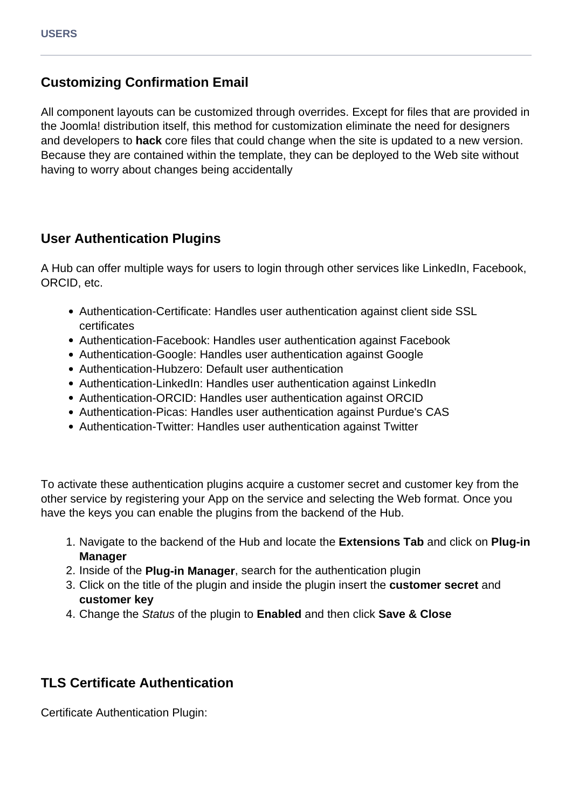# **Customizing Confirmation Email**

All component layouts can be customized through overrides. Except for files that are provided in the Joomla! distribution itself, this method for customization eliminate the need for designers and developers to **hack** core files that could change when the site is updated to a new version. Because they are contained within the template, they can be deployed to the Web site without having to worry about changes being accidentally

### **User Authentication Plugins**

A Hub can offer multiple ways for users to login through other services like LinkedIn, Facebook, ORCID, etc.

- Authentication-Certificate: Handles user authentication against client side SSL certificates
- Authentication-Facebook: Handles user authentication against Facebook
- Authentication-Google: Handles user authentication against Google
- Authentication-Hubzero: Default user authentication
- Authentication-LinkedIn: Handles user authentication against LinkedIn
- Authentication-ORCID: Handles user authentication against ORCID
- Authentication-Picas: Handles user authentication against Purdue's CAS
- Authentication-Twitter: Handles user authentication against Twitter

To activate these authentication plugins acquire a customer secret and customer key from the other service by registering your App on the service and selecting the Web format. Once you have the keys you can enable the plugins from the backend of the Hub.

- 1. Navigate to the backend of the Hub and locate the **Extensions Tab** and click on **Plug-in Manager**
- 2. Inside of the **Plug-in Manager**, search for the authentication plugin
- 3. Click on the title of the plugin and inside the plugin insert the **customer secret** and **customer key**
- 4. Change the Status of the plugin to **Enabled** and then click **Save & Close**

# **TLS Certificate Authentication**

Certificate Authentication Plugin: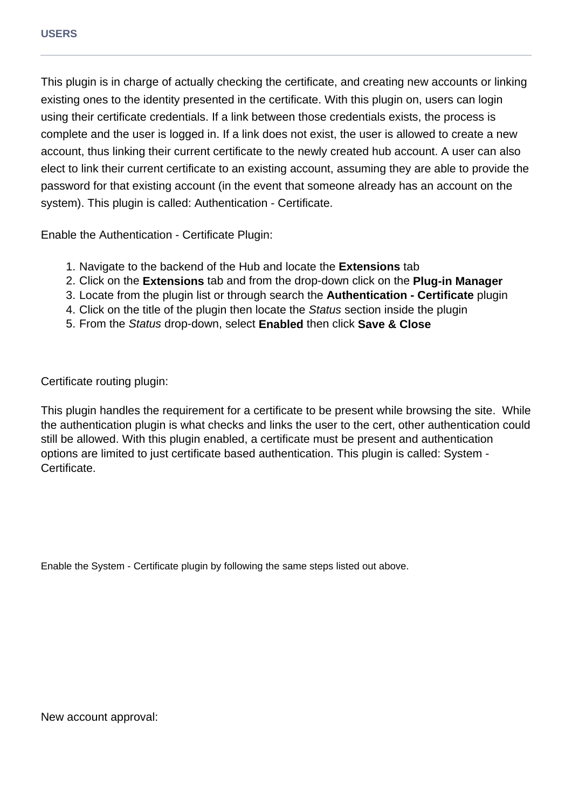This plugin is in charge of actually checking the certificate, and creating new accounts or linking existing ones to the identity presented in the certificate. With this plugin on, users can login using their certificate credentials. If a link between those credentials exists, the process is complete and the user is logged in. If a link does not exist, the user is allowed to create a new account, thus linking their current certificate to the newly created hub account. A user can also elect to link their current certificate to an existing account, assuming they are able to provide the password for that existing account (in the event that someone already has an account on the system). This plugin is called: Authentication - Certificate.

Enable the Authentication - Certificate Plugin:

- 1. Navigate to the backend of the Hub and locate the **Extensions** tab
- 2. Click on the **Extensions** tab and from the drop-down click on the **Plug-in Manager**
- 3. Locate from the plugin list or through search the **Authentication Certificate** plugin
- 4. Click on the title of the plugin then locate the Status section inside the plugin
- 5. From the Status drop-down, select **Enabled** then click **Save & Close**

Certificate routing plugin:

This plugin handles the requirement for a certificate to be present while browsing the site. While the authentication plugin is what checks and links the user to the cert, other authentication could still be allowed. With this plugin enabled, a certificate must be present and authentication options are limited to just certificate based authentication. This plugin is called: System - Certificate.

Enable the System - Certificate plugin by following the same steps listed out above.

New account approval: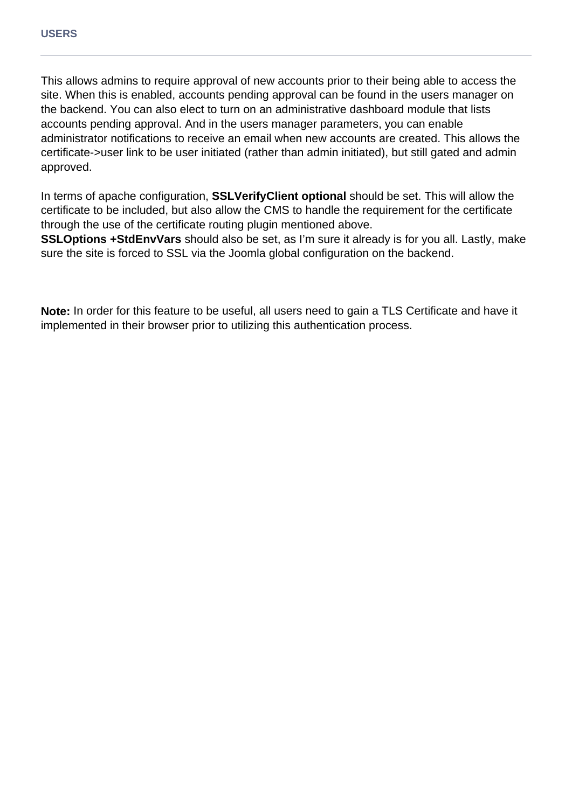This allows admins to require approval of new accounts prior to their being able to access the site. When this is enabled, accounts pending approval can be found in the users manager on the backend. You can also elect to turn on an administrative dashboard module that lists accounts pending approval. And in the users manager parameters, you can enable administrator notifications to receive an email when new accounts are created. This allows the certificate->user link to be user initiated (rather than admin initiated), but still gated and admin approved.

In terms of apache configuration, **SSLVerifyClient optional** should be set. This will allow the certificate to be included, but also allow the CMS to handle the requirement for the certificate through the use of the certificate routing plugin mentioned above.

**SSLOptions +StdEnvVars** should also be set, as I'm sure it already is for you all. Lastly, make sure the site is forced to SSL via the Joomla global configuration on the backend.

**Note:** In order for this feature to be useful, all users need to gain a TLS Certificate and have it implemented in their browser prior to utilizing this authentication process.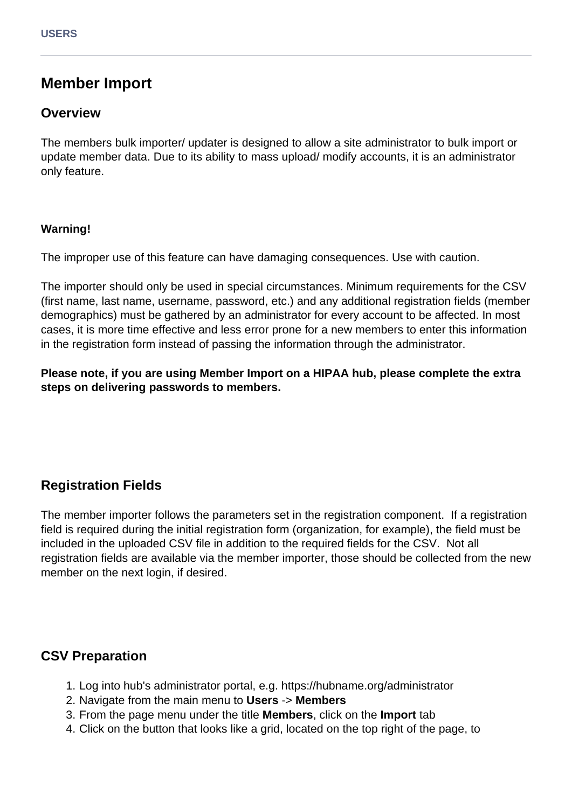# **Member Import**

### **Overview**

The members bulk importer/ updater is designed to allow a site administrator to bulk import or update member data. Due to its ability to mass upload/ modify accounts, it is an administrator only feature.

#### **Warning!**

The improper use of this feature can have damaging consequences. Use with caution.

The importer should only be used in special circumstances. Minimum requirements for the CSV (first name, last name, username, password, etc.) and any additional registration fields (member demographics) must be gathered by an administrator for every account to be affected. In most cases, it is more time effective and less error prone for a new members to enter this information in the registration form instead of passing the information through the administrator.

**Please note, if you are using Member Import on a HIPAA hub, please complete the extra steps on delivering passwords to members.**

# **Registration Fields**

The member importer follows the parameters set in the registration component. If a registration field is required during the initial registration form (organization, for example), the field must be included in the uploaded CSV file in addition to the required fields for the CSV. Not all registration fields are available via the member importer, those should be collected from the new member on the next login, if desired.

# **CSV Preparation**

- 1. Log into hub's administrator portal, e.g. https://hubname.org/administrator
- 2. Navigate from the main menu to **Users** -> **Members**
- 3. From the page menu under the title **Members**, click on the **Import** tab
- 4. Click on the button that looks like a grid, located on the top right of the page, to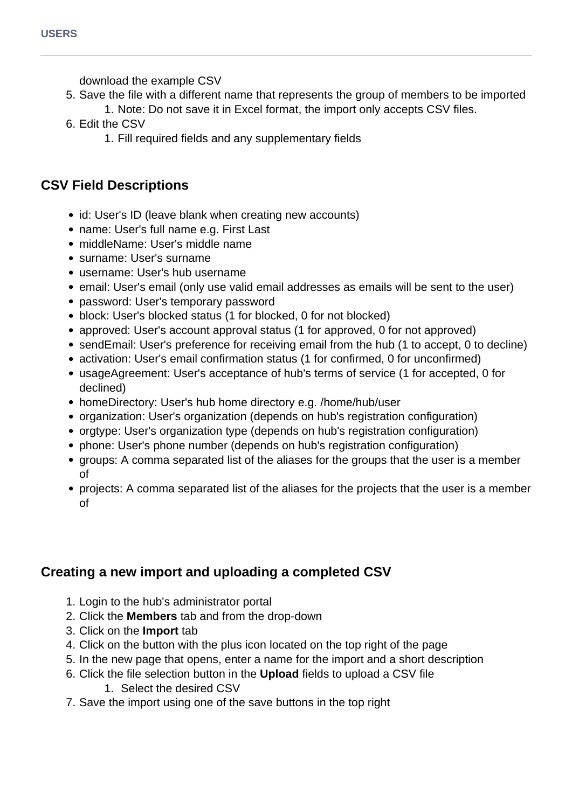download the example CSV

- 5. Save the file with a different name that represents the group of members to be imported
	- 1. Note: Do not save it in Excel format, the import only accepts CSV files.
- 6. Edit the CSV
	- 1. Fill required fields and any supplementary fields

# **CSV Field Descriptions**

- id: User's ID (leave blank when creating new accounts)
- name: User's full name e.g. First Last
- middleName: User's middle name
- surname: User's surname
- username: User's hub username
- email: User's email (only use valid email addresses as emails will be sent to the user)
- password: User's temporary password
- block: User's blocked status (1 for blocked, 0 for not blocked)
- approved: User's account approval status (1 for approved, 0 for not approved)
- sendEmail: User's preference for receiving email from the hub (1 to accept, 0 to decline)
- activation: User's email confirmation status (1 for confirmed, 0 for unconfirmed)
- usageAgreement: User's acceptance of hub's terms of service (1 for accepted, 0 for declined)
- homeDirectory: User's hub home directory e.g. /home/hub/user
- organization: User's organization (depends on hub's registration configuration)
- orgtype: User's organization type (depends on hub's registration configuration)
- phone: User's phone number (depends on hub's registration configuration)
- groups: A comma separated list of the aliases for the groups that the user is a member of
- projects: A comma separated list of the aliases for the projects that the user is a member of

# **Creating a new import and uploading a completed CSV**

- 1. Login to the hub's administrator portal
- 2. Click the **Members** tab and from the drop-down
- 3. Click on the **Import** tab
- 4. Click on the button with the plus icon located on the top right of the page
- 5. In the new page that opens, enter a name for the import and a short description
- 6. Click the file selection button in the **Upload** fields to upload a CSV file
	- 1. Select the desired CSV
- 7. Save the import using one of the save buttons in the top right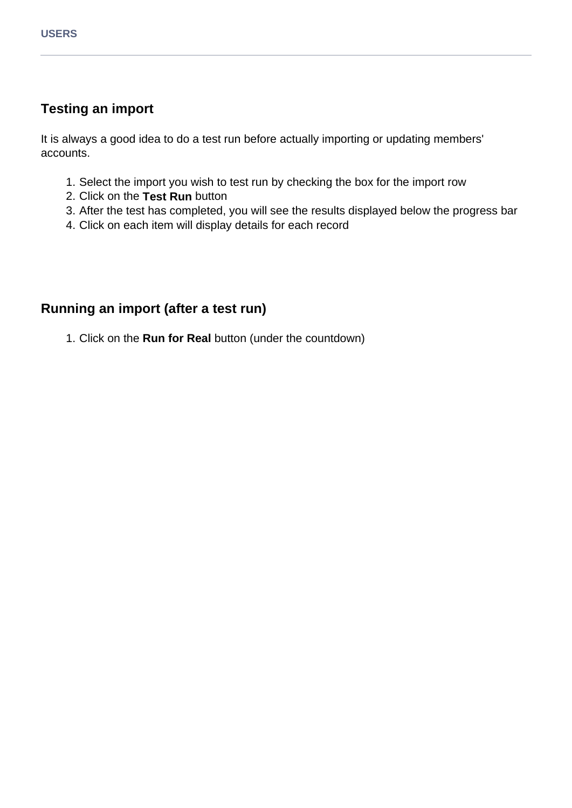# **Testing an import**

It is always a good idea to do a test run before actually importing or updating members' accounts.

- 1. Select the import you wish to test run by checking the box for the import row
- 2. Click on the **Test Run** button
- 3. After the test has completed, you will see the results displayed below the progress bar
- 4. Click on each item will display details for each record

### **Running an import (after a test run)**

1. Click on the **Run for Real** button (under the countdown)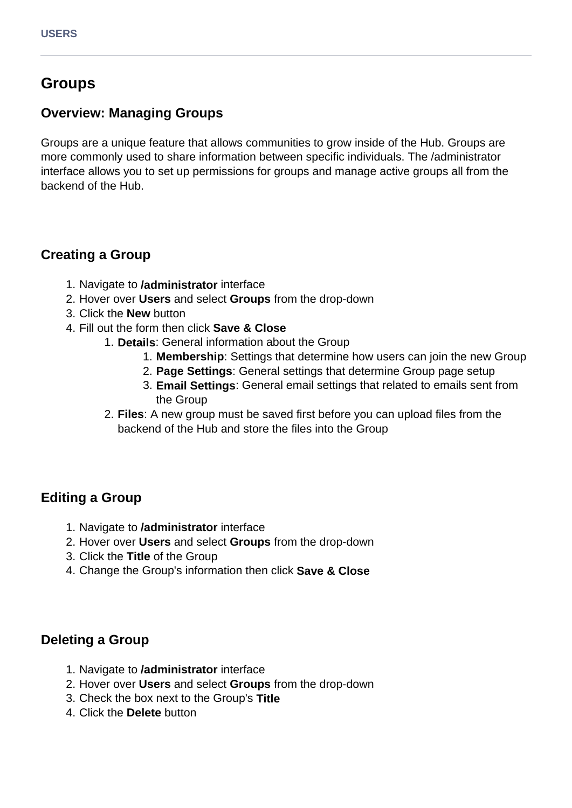# **Groups**

### **Overview: Managing Groups**

Groups are a unique feature that allows communities to grow inside of the Hub. Groups are more commonly used to share information between specific individuals. The /administrator interface allows you to set up permissions for groups and manage active groups all from the backend of the Hub.

# **Creating a Group**

- 1. Navigate to **/administrator** interface
- 2. Hover over **Users** and select **Groups** from the drop-down
- 3. Click the **New** button
- 4. Fill out the form then click **Save & Close**
	- 1. **Details**: General information about the Group
		- 1. **Membership**: Settings that determine how users can join the new Group
		- 2. **Page Settings**: General settings that determine Group page setup
		- 3. **Email Settings**: General email settings that related to emails sent from the Group
	- 2. **Files**: A new group must be saved first before you can upload files from the backend of the Hub and store the files into the Group

# **Editing a Group**

- 1. Navigate to **/administrator** interface
- 2. Hover over **Users** and select **Groups** from the drop-down
- 3. Click the **Title** of the Group
- 4. Change the Group's information then click **Save & Close**

### **Deleting a Group**

- 1. Navigate to **/administrator** interface
- 2. Hover over **Users** and select **Groups** from the drop-down
- 3. Check the box next to the Group's **Title**
- 4. Click the **Delete** button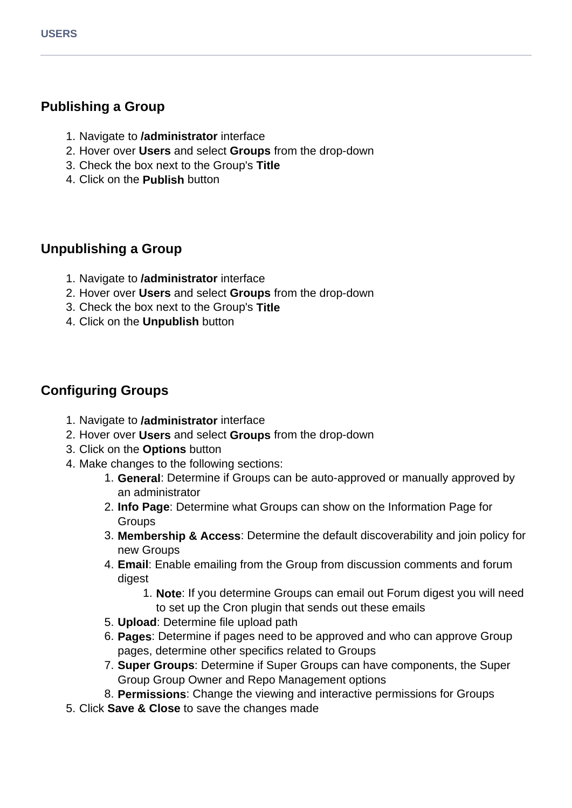# **Publishing a Group**

- 1. Navigate to **/administrator** interface
- 2. Hover over **Users** and select **Groups** from the drop-down
- 3. Check the box next to the Group's **Title**
- 4. Click on the **Publish** button

# **Unpublishing a Group**

- 1. Navigate to **/administrator** interface
- 2. Hover over **Users** and select **Groups** from the drop-down
- 3. Check the box next to the Group's **Title**
- 4. Click on the **Unpublish** button

# **Configuring Groups**

- 1. Navigate to **/administrator** interface
- 2. Hover over **Users** and select **Groups** from the drop-down
- 3. Click on the **Options** button
- 4. Make changes to the following sections:
	- 1. **General**: Determine if Groups can be auto-approved or manually approved by an administrator
	- 2. **Info Page**: Determine what Groups can show on the Information Page for **Groups**
	- 3. **Membership & Access**: Determine the default discoverability and join policy for new Groups
	- 4. **Email**: Enable emailing from the Group from discussion comments and forum digest
		- 1. **Note**: If you determine Groups can email out Forum digest you will need to set up the Cron plugin that sends out these emails
	- 5. **Upload**: Determine file upload path
	- 6. **Pages**: Determine if pages need to be approved and who can approve Group pages, determine other specifics related to Groups
	- 7. **Super Groups**: Determine if Super Groups can have components, the Super Group Group Owner and Repo Management options
	- 8. **Permissions**: Change the viewing and interactive permissions for Groups
- 5. Click **Save & Close** to save the changes made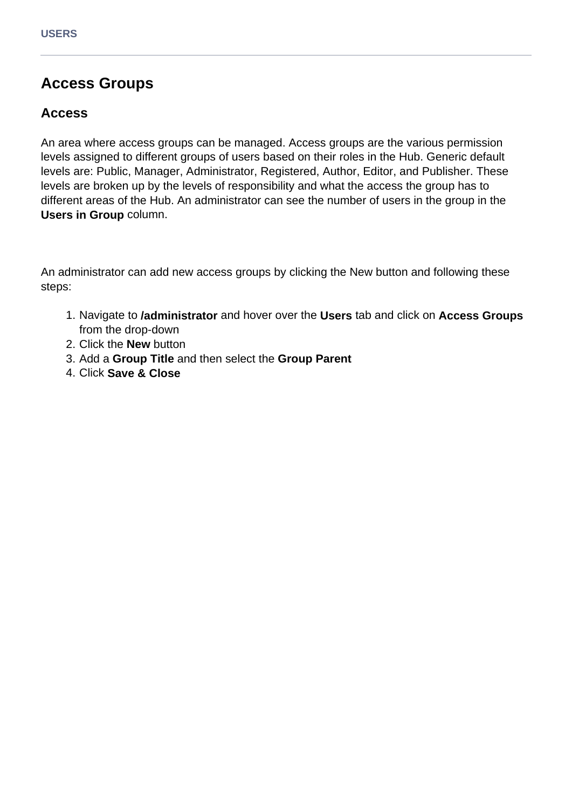# **Access Groups**

### **Access**

An area where access groups can be managed. Access groups are the various permission levels assigned to different groups of users based on their roles in the Hub. Generic default levels are: Public, Manager, Administrator, Registered, Author, Editor, and Publisher. These levels are broken up by the levels of responsibility and what the access the group has to different areas of the Hub. An administrator can see the number of users in the group in the **Users in Group** column.

An administrator can add new access groups by clicking the New button and following these steps:

- 1. Navigate to **/administrator** and hover over the **Users** tab and click on **Access Groups** from the drop-down
- 2. Click the **New** button
- 3. Add a **Group Title** and then select the **Group Parent**
- 4. Click **Save & Close**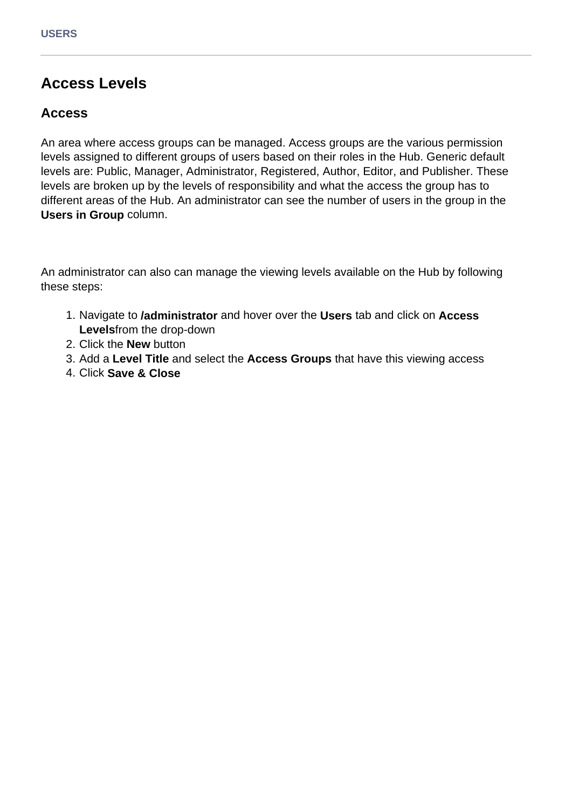# **Access Levels**

### **Access**

An area where access groups can be managed. Access groups are the various permission levels assigned to different groups of users based on their roles in the Hub. Generic default levels are: Public, Manager, Administrator, Registered, Author, Editor, and Publisher. These levels are broken up by the levels of responsibility and what the access the group has to different areas of the Hub. An administrator can see the number of users in the group in the **Users in Group** column.

An administrator can also can manage the viewing levels available on the Hub by following these steps:

- 1. Navigate to **/administrator** and hover over the **Users** tab and click on **Access Levels**from the drop-down
- 2. Click the **New** button
- 3. Add a **Level Title** and select the **Access Groups** that have this viewing access
- 4. Click **Save & Close**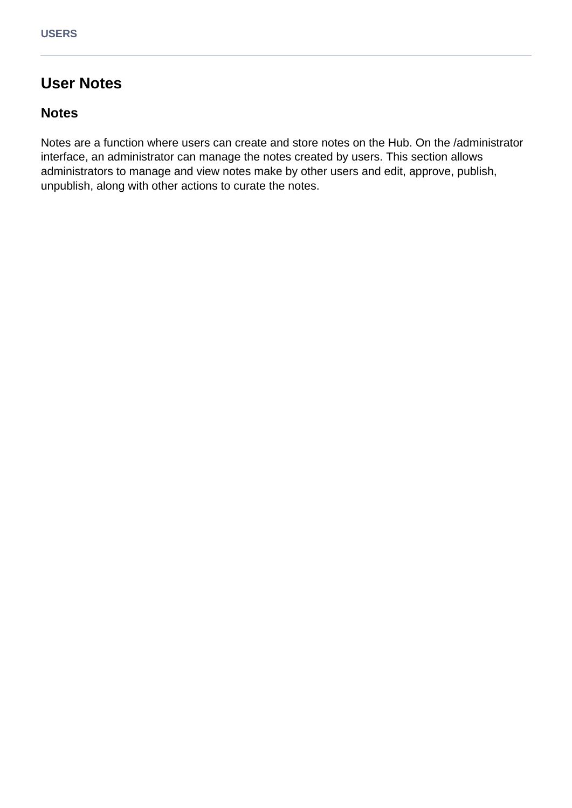# **User Notes**

### **Notes**

Notes are a function where users can create and store notes on the Hub. On the /administrator interface, an administrator can manage the notes created by users. This section allows administrators to manage and view notes make by other users and edit, approve, publish, unpublish, along with other actions to curate the notes.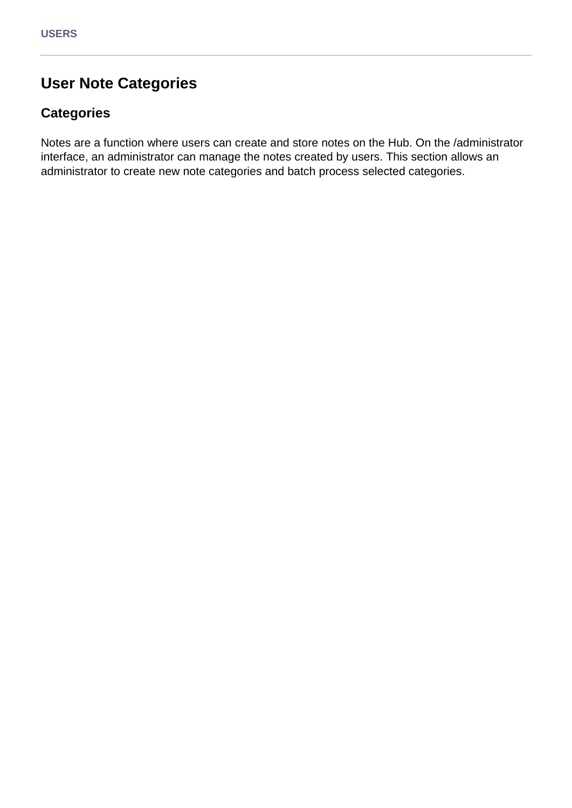# **User Note Categories**

# **Categories**

Notes are a function where users can create and store notes on the Hub. On the /administrator interface, an administrator can manage the notes created by users. This section allows an administrator to create new note categories and batch process selected categories.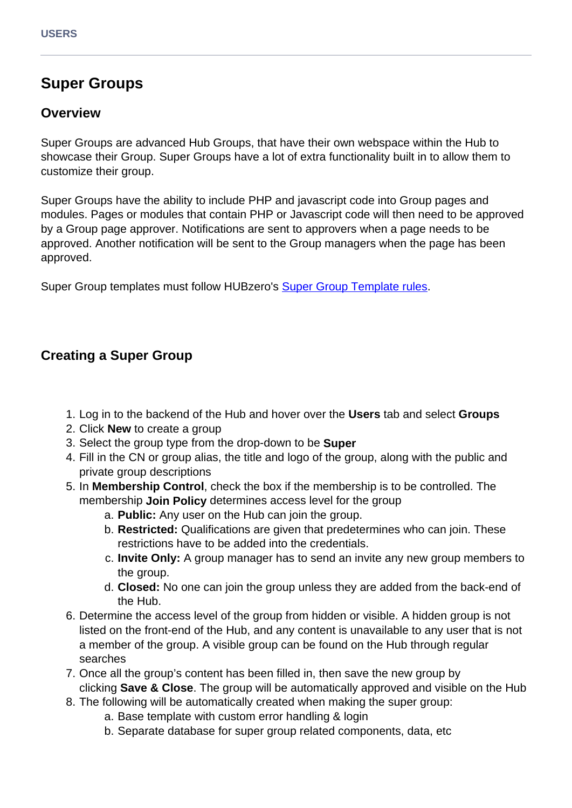# **Super Groups**

### **Overview**

Super Groups are advanced Hub Groups, that have their own webspace within the Hub to showcase their Group. Super Groups have a lot of extra functionality built in to allow them to customize their group.

Super Groups have the ability to include PHP and javascript code into Group pages and modules. Pages or modules that contain PHP or Javascript code will then need to be approved by a Group page approver. Notifications are sent to approvers when a page needs to be approved. Another notification will be sent to the Group managers when the page has been approved.

Super Group templates must follow HUBzero's [Super Group Template rules.](documentation/22/webdevs/supergroups)

# **Creating a Super Group**

- 1. Log in to the backend of the Hub and hover over the **Users** tab and select **Groups**
- 2. Click **New** to create a group
- 3. Select the group type from the drop-down to be **Super**
- 4. Fill in the CN or group alias, the title and logo of the group, along with the public and private group descriptions
- 5. In **Membership Control**, check the box if the membership is to be controlled. The membership **Join Policy** determines access level for the group
	- a. **Public:** Any user on the Hub can join the group.
	- b. **Restricted:** Qualifications are given that predetermines who can join. These restrictions have to be added into the credentials.
	- c. **Invite Only:** A group manager has to send an invite any new group members to the group.
	- d. **Closed:** No one can join the group unless they are added from the back-end of the Hub.
- 6. Determine the access level of the group from hidden or visible. A hidden group is not listed on the front-end of the Hub, and any content is unavailable to any user that is not a member of the group. A visible group can be found on the Hub through regular searches
- 7. Once all the group's content has been filled in, then save the new group by clicking **Save & Close**. The group will be automatically approved and visible on the Hub
- 8. The following will be automatically created when making the super group:
	- a. Base template with custom error handling & login
	- b. Separate database for super group related components, data, etc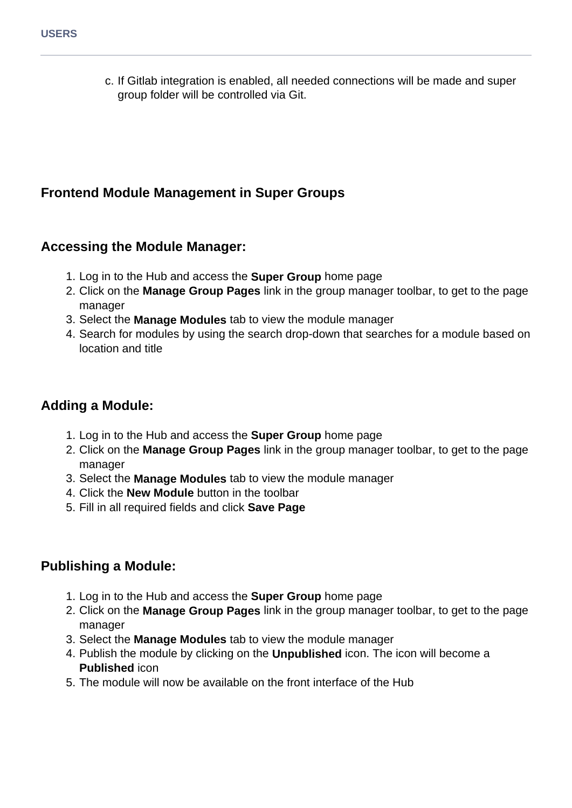c. If Gitlab integration is enabled, all needed connections will be made and super group folder will be controlled via Git.

# **Frontend Module Management in Super Groups**

### **Accessing the Module Manager:**

- 1. Log in to the Hub and access the **Super Group** home page
- 2. Click on the **Manage Group Pages** link in the group manager toolbar, to get to the page manager
- 3. Select the **Manage Modules** tab to view the module manager
- 4. Search for modules by using the search drop-down that searches for a module based on location and title

# **Adding a Module:**

- 1. Log in to the Hub and access the **Super Group** home page
- 2. Click on the **Manage Group Pages** link in the group manager toolbar, to get to the page manager
- 3. Select the **Manage Modules** tab to view the module manager
- 4. Click the **New Module** button in the toolbar
- 5. Fill in all required fields and click **Save Page**

# **Publishing a Module:**

- 1. Log in to the Hub and access the **Super Group** home page
- 2. Click on the **Manage Group Pages** link in the group manager toolbar, to get to the page manager
- 3. Select the **Manage Modules** tab to view the module manager
- 4. Publish the module by clicking on the **Unpublished** icon. The icon will become a **Published** icon
- 5. The module will now be available on the front interface of the Hub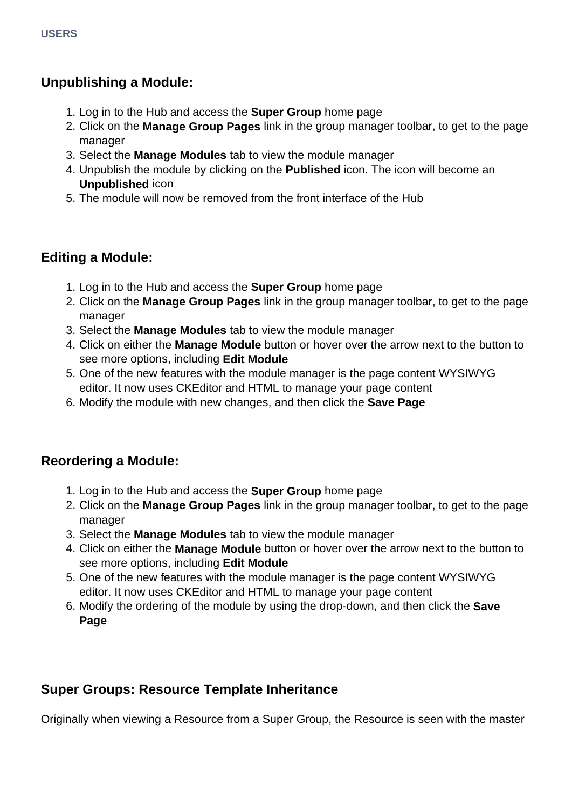### **Unpublishing a Module:**

- 1. Log in to the Hub and access the **Super Group** home page
- 2. Click on the **Manage Group Pages** link in the group manager toolbar, to get to the page manager
- 3. Select the **Manage Modules** tab to view the module manager
- 4. Unpublish the module by clicking on the **Published** icon. The icon will become an **Unpublished** icon
- 5. The module will now be removed from the front interface of the Hub

# **Editing a Module:**

- 1. Log in to the Hub and access the **Super Group** home page
- 2. Click on the **Manage Group Pages** link in the group manager toolbar, to get to the page manager
- 3. Select the **Manage Modules** tab to view the module manager
- 4. Click on either the **Manage Module** button or hover over the arrow next to the button to see more options, including **Edit Module**
- 5. One of the new features with the module manager is the page content WYSIWYG editor. It now uses CKEditor and HTML to manage your page content
- 6. Modify the module with new changes, and then click the **Save Page**

# **Reordering a Module:**

- 1. Log in to the Hub and access the **Super Group** home page
- 2. Click on the **Manage Group Pages** link in the group manager toolbar, to get to the page manager
- 3. Select the **Manage Modules** tab to view the module manager
- 4. Click on either the **Manage Module** button or hover over the arrow next to the button to see more options, including **Edit Module**
- 5. One of the new features with the module manager is the page content WYSIWYG editor. It now uses CKEditor and HTML to manage your page content
- 6. Modify the ordering of the module by using the drop-down, and then click the **Save Page**

# **Super Groups: Resource Template Inheritance**

Originally when viewing a Resource from a Super Group, the Resource is seen with the master